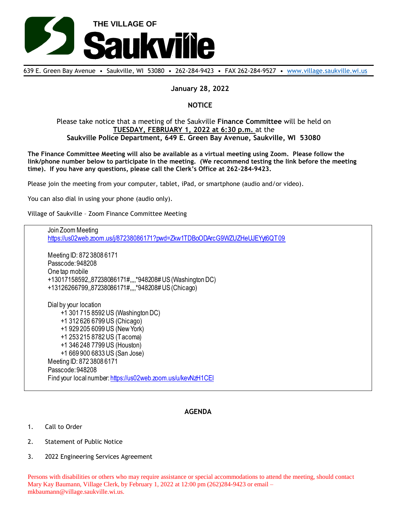

639 E. Green Bay Avenue • Saukville, WI 53080 • 262-284-9423 • FAX 262-284-9527 • [www.village.saukville.wi.us](http://www.village.saukville.wi.us/)

## **January 28, 2022**

## **NOTICE**

## Please take notice that a meeting of the Saukville **Finance Committee** will be held on **TUESDAY, FEBRUARY 1, 2022 at 6:30 p.m.** at the **Saukville Police Department, 649 E. Green Bay Avenue, Saukville, WI 53080**

**The Finance Committee Meeting will also be available as a virtual meeting using Zoom. Please follow the link/phone number below to participate in the meeting. (We recommend testing the link before the meeting time). If you have any questions, please call the Clerk's Office at 262-284-9423.**

Please join the meeting from your computer, tablet, iPad, or smartphone (audio and/or video).

You can also dial in using your phone (audio only).

Village of Saukville – Zoom Finance Committee Meeting

Join Zoom Meeting https://us02web.zoom.us/j/87238086171?pwd=Zkw1TDBoODArcG9WZUZHeUJEYyt6QT09 Meeting ID: 872 3808 6171 Passcode: 948208 One tap mobile +13017158592,,87238086171#,,,,\*948208# US (Washington DC) +13126266799,,87238086171#,,,,\*948208# US (Chicago) Dial by your location +1 301 715 8592 US (Washington DC) +1 312 626 6799 US (Chicago) +1 929 205 6099 US (New York) +1 253 215 8782 US (Tacoma) +1 346 248 7799 US (Houston) +1 669 900 6833 US (San Jose) Meeting ID: 872 3808 6171 Passcode: 948208 Find your local number: https://us02web.zoom.us/u/kevNzH1CEI

## **AGENDA**

- 1. Call to Order
- 2. Statement of Public Notice
- 3. 2022 Engineering Services Agreement

Persons with disabilities or others who may require assistance or special accommodations to attend the meeting, should contact Mary Kay Baumann, Village Clerk, by February 1, 2022 at 12:00 pm (262)284-9423 or email – mkbaumann@village.saukville.wi.us.